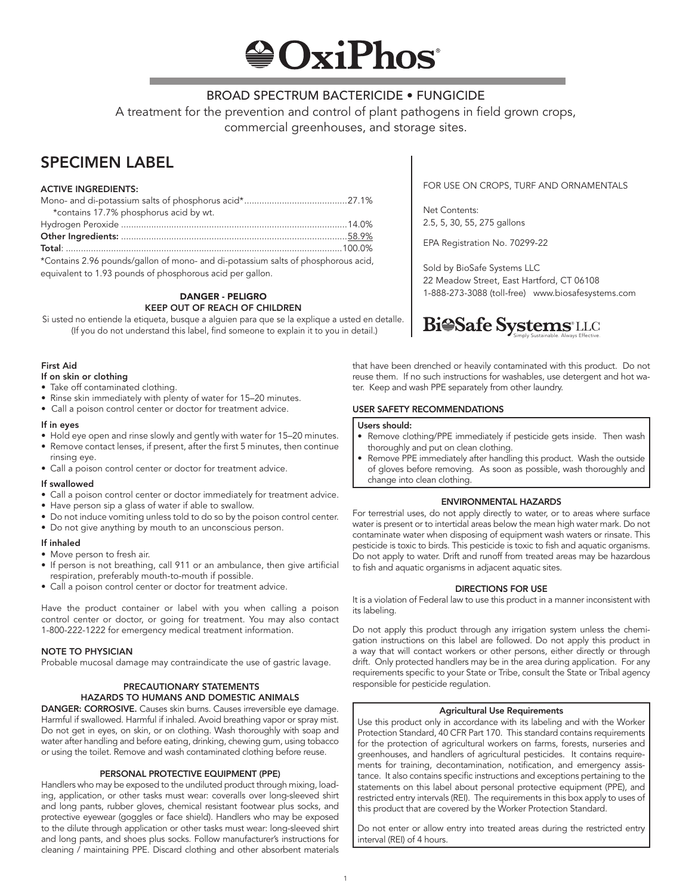# **OxiPhos**

### BROAD SPECTRUM BACTERICIDE • FUNGICIDE

A treatment for the prevention and control of plant pathogens in field grown crops, commercial greenhouses, and storage sites.

## SPECIMEN LABEL

#### ACTIVE INGREDIENTS:

| *contains 17.7% phosphorus acid by wt.                                            |  |
|-----------------------------------------------------------------------------------|--|
|                                                                                   |  |
|                                                                                   |  |
|                                                                                   |  |
| *Contains 2.96 pounds/gallon of mono- and di-potassium salts of phosphorous acid, |  |

equivalent to 1.93 pounds of phosphorous acid per gallon.

DANGER - PELIGRO KEEP OUT OF REACH OF CHILDREN

Si usted no entiende la etiqueta, busque a alguien para que se la explique a usted en detalle. (If you do not understand this label, find someone to explain it to you in detail.)

#### First Aid

#### If on skin or clothing

- Take off contaminated clothing.
- Rinse skin immediately with plenty of water for 15–20 minutes.
- Call a poison control center or doctor for treatment advice.

#### If in eyes

- Hold eye open and rinse slowly and gently with water for 15–20 minutes.
- Remove contact lenses, if present, after the first 5 minutes, then continue rinsing eye.
- Call a poison control center or doctor for treatment advice.

#### If swallowed

- Call a poison control center or doctor immediately for treatment advice.
- Have person sip a glass of water if able to swallow.
- Do not induce vomiting unless told to do so by the poison control center.
- Do not give anything by mouth to an unconscious person.

#### If inhaled

- Move person to fresh air.
- If person is not breathing, call 911 or an ambulance, then give artificial respiration, preferably mouth-to-mouth if possible.
- Call a poison control center or doctor for treatment advice.

Have the product container or label with you when calling a poison control center or doctor, or going for treatment. You may also contact 1-800-222-1222 for emergency medical treatment information.

#### NOTE TO PHYSICIAN

Probable mucosal damage may contraindicate the use of gastric lavage.

#### PRECAUTIONARY STATEMENTS HAZARDS TO HUMANS AND DOMESTIC ANIMALS

DANGER: CORROSIVE. Causes skin burns. Causes irreversible eye damage. Harmful if swallowed. Harmful if inhaled. Avoid breathing vapor or spray mist. Do not get in eyes, on skin, or on clothing. Wash thoroughly with soap and water after handling and before eating, drinking, chewing gum, using tobacco or using the toilet. Remove and wash contaminated clothing before reuse.

#### PERSONAL PROTECTIVE EQUIPMENT (PPE)

Handlers who may be exposed to the undiluted product through mixing, loading, application, or other tasks must wear: coveralls over long-sleeved shirt and long pants, rubber gloves, chemical resistant footwear plus socks, and protective eyewear (goggles or face shield). Handlers who may be exposed to the dilute through application or other tasks must wear: long-sleeved shirt and long pants, and shoes plus socks. Follow manufacturer's instructions for cleaning / maintaining PPE. Discard clothing and other absorbent materials

FOR USE ON CROPS, TURF AND ORNAMENTALS

Net Contents: 2.5, 5, 30, 55, 275 gallons

EPA Registration No. 70299-22

Sold by BioSafe Systems LLC 22 Meadow Street, East Hartford, CT 06108 1-888-273-3088 (toll-free) www.biosafesystems.com



that have been drenched or heavily contaminated with this product. Do not reuse them. If no such instructions for washables, use detergent and hot water. Keep and wash PPE separately from other laundry.

#### USER SAFETY RECOMMENDATIONS

#### Users should:

- Remove clothing/PPE immediately if pesticide gets inside. Then wash thoroughly and put on clean clothing.
- Remove PPE immediately after handling this product. Wash the outside of gloves before removing. As soon as possible, wash thoroughly and change into clean clothing.

#### ENVIRONMENTAL HAZARDS

For terrestrial uses, do not apply directly to water, or to areas where surface water is present or to intertidal areas below the mean high water mark. Do not contaminate water when disposing of equipment wash waters or rinsate. This pesticide is toxic to birds. This pesticide is toxic to fish and aquatic organisms. Do not apply to water. Drift and runoff from treated areas may be hazardous to fish and aquatic organisms in adjacent aquatic sites.

#### DIRECTIONS FOR USE

It is a violation of Federal law to use this product in a manner inconsistent with its labeling.

Do not apply this product through any irrigation system unless the chemigation instructions on this label are followed. Do not apply this product in a way that will contact workers or other persons, either directly or through drift. Only protected handlers may be in the area during application. For any requirements specific to your State or Tribe, consult the State or Tribal agency responsible for pesticide regulation.

#### Agricultural Use Requirements

Use this product only in accordance with its labeling and with the Worker Protection Standard, 40 CFR Part 170. This standard contains requirements for the protection of agricultural workers on farms, forests, nurseries and greenhouses, and handlers of agricultural pesticides. It contains requirements for training, decontamination, notification, and emergency assistance. It also contains specific instructions and exceptions pertaining to the statements on this label about personal protective equipment (PPE), and restricted entry intervals (REI). The requirements in this box apply to uses of this product that are covered by the Worker Protection Standard.

Do not enter or allow entry into treated areas during the restricted entry interval (REI) of 4 hours.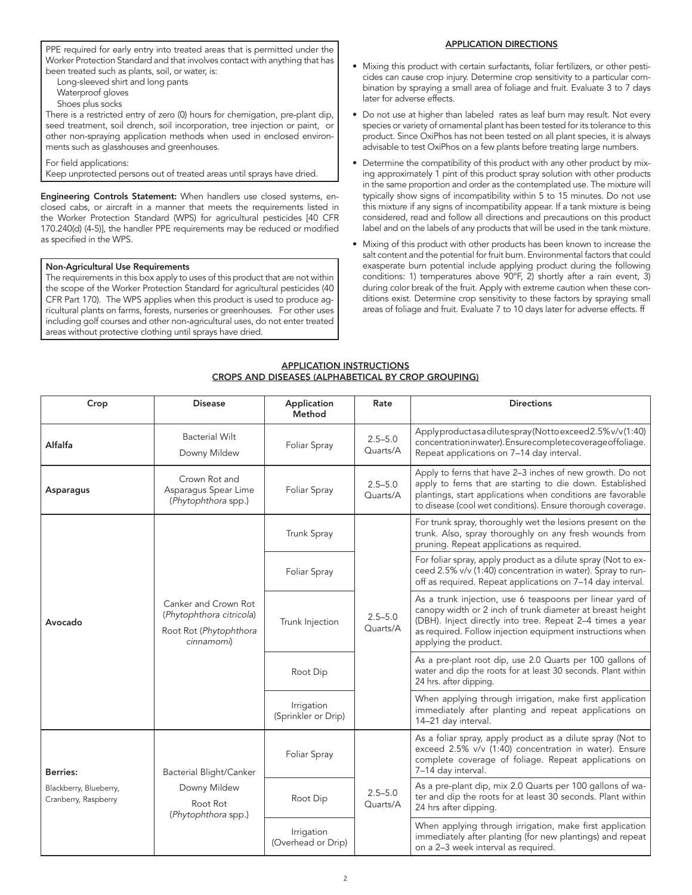PPE required for early entry into treated areas that is permitted under the Worker Protection Standard and that involves contact with anything that has been treated such as plants, soil, or water, is:

Long-sleeved shirt and long pants

Waterproof gloves

Shoes plus socks

There is a restricted entry of zero (0) hours for chemigation, pre-plant dip, seed treatment, soil drench, soil incorporation, tree injection or paint, or other non-spraying application methods when used in enclosed environments such as glasshouses and greenhouses.

For field applications:

Keep unprotected persons out of treated areas until sprays have dried.

Engineering Controls Statement: When handlers use closed systems, enclosed cabs, or aircraft in a manner that meets the requirements listed in the Worker Protection Standard (WPS) for agricultural pesticides [40 CFR 170.240(d) (4-5)], the handler PPE requirements may be reduced or modified as specified in the WPS.

#### Non-Agricultural Use Requirements

The requirements in this box apply to uses of this product that are not within the scope of the Worker Protection Standard for agricultural pesticides (40 CFR Part 170). The WPS applies when this product is used to produce agricultural plants on farms, forests, nurseries or greenhouses. For other uses including golf courses and other non-agricultural uses, do not enter treated areas without protective clothing until sprays have dried.

#### APPLICATION DIRECTIONS

- Mixing this product with certain surfactants, foliar fertilizers, or other pesticides can cause crop injury. Determine crop sensitivity to a particular combination by spraying a small area of foliage and fruit. Evaluate 3 to 7 days later for adverse effects.
- Do not use at higher than labeled rates as leaf burn may result. Not every species or variety of ornamental plant has been tested for its tolerance to this product. Since OxiPhos has not been tested on all plant species, it is always advisable to test OxiPhos on a few plants before treating large numbers.
- Determine the compatibility of this product with any other product by mixing approximately 1 pint of this product spray solution with other products in the same proportion and order as the contemplated use. The mixture will typically show signs of incompatibility within 5 to 15 minutes. Do not use this mixture if any signs of incompatibility appear. If a tank mixture is being considered, read and follow all directions and precautions on this product label and on the labels of any products that will be used in the tank mixture.
- Mixing of this product with other products has been known to increase the salt content and the potential for fruit burn. Environmental factors that could exasperate burn potential include applying product during the following conditions: 1) temperatures above 90°F, 2) shortly after a rain event, 3) during color break of the fruit. Apply with extreme caution when these conditions exist. Determine crop sensitivity to these factors by spraying small areas of foliage and fruit. Evaluate 7 to 10 days later for adverse effects. ff

#### APPLICATION INSTRUCTIONS CROPS AND DISEASES (ALPHABETICAL BY CROP GROUPING)

| Crop                                           | <b>Disease</b>                                                                           | Application<br>Method             | Rate                    | <b>Directions</b>                                                                                                                                                                                                                                                        |
|------------------------------------------------|------------------------------------------------------------------------------------------|-----------------------------------|-------------------------|--------------------------------------------------------------------------------------------------------------------------------------------------------------------------------------------------------------------------------------------------------------------------|
| Alfalfa                                        | <b>Bacterial Wilt</b><br>Downy Mildew                                                    | Foliar Spray                      | $2.5 - 5.0$<br>Quarts/A | Applyproductasadilutespray(Nottoexceed2.5%v/v(1:40)<br>concentration inwater). Ensure complete coverage offoliage.<br>Repeat applications on 7-14 day interval.                                                                                                          |
| Asparagus                                      | Crown Rot and<br>Asparagus Spear Lime<br>(Phytophthora spp.)                             | Foliar Spray                      | $2.5 - 5.0$<br>Quarts/A | Apply to ferns that have 2-3 inches of new growth. Do not<br>apply to ferns that are starting to die down. Established<br>plantings, start applications when conditions are favorable<br>to disease (cool wet conditions). Ensure thorough coverage.                     |
| Avocado                                        |                                                                                          | Trunk Spray                       | $2.5 - 5.0$<br>Quarts/A | For trunk spray, thoroughly wet the lesions present on the<br>trunk. Also, spray thoroughly on any fresh wounds from<br>pruning. Repeat applications as required.                                                                                                        |
|                                                |                                                                                          | Foliar Spray                      |                         | For foliar spray, apply product as a dilute spray (Not to ex-<br>ceed 2.5% v/v (1:40) concentration in water). Spray to run-<br>off as required. Repeat applications on 7-14 day interval.                                                                               |
|                                                | Canker and Crown Rot<br>(Phytophthora citricola)<br>Root Rot (Phytophthora<br>cinnamomi) | Trunk Injection                   |                         | As a trunk injection, use 6 teaspoons per linear yard of<br>canopy width or 2 inch of trunk diameter at breast height<br>(DBH). Inject directly into tree. Repeat 2-4 times a year<br>as required. Follow injection equipment instructions when<br>applying the product. |
|                                                |                                                                                          | Root Dip                          |                         | As a pre-plant root dip, use 2.0 Quarts per 100 gallons of<br>water and dip the roots for at least 30 seconds. Plant within<br>24 hrs. after dipping.                                                                                                                    |
|                                                |                                                                                          | Irrigation<br>(Sprinkler or Drip) |                         | When applying through irrigation, make first application<br>immediately after planting and repeat applications on<br>14-21 day interval.                                                                                                                                 |
| <b>Berries:</b><br>Bacterial Blight/Canker     |                                                                                          | Foliar Spray                      |                         | As a foliar spray, apply product as a dilute spray (Not to<br>exceed 2.5% v/v (1:40) concentration in water). Ensure<br>complete coverage of foliage. Repeat applications on<br>7-14 day interval.                                                                       |
| Blackberry, Blueberry,<br>Cranberry, Raspberry | Downy Mildew<br>Root Rot<br>(Phytophthora spp.)                                          | Root Dip                          | $2.5 - 5.0$<br>Quarts/A | As a pre-plant dip, mix 2.0 Quarts per 100 gallons of wa-<br>ter and dip the roots for at least 30 seconds. Plant within<br>24 hrs after dipping.                                                                                                                        |
|                                                |                                                                                          | Irrigation<br>(Overhead or Drip)  |                         | When applying through irrigation, make first application<br>immediately after planting (for new plantings) and repeat<br>on a 2-3 week interval as required.                                                                                                             |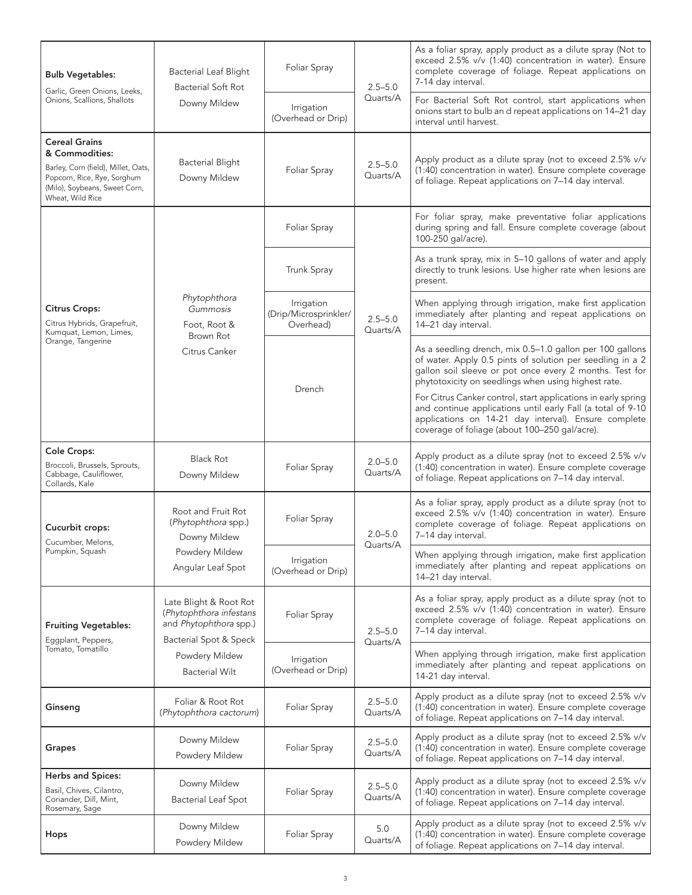| <b>Bulb Vegetables:</b><br>Garlic, Green Onions, Leeks,                                                                                                           | <b>Bacterial Leaf Blight</b><br><b>Bacterial Soft Rot</b>                                                                                        | Foliar Spray                                     |                         | As a foliar spray, apply product as a dilute spray (Not to<br>exceed 2.5% v/v (1:40) concentration in water). Ensure<br>complete coverage of foliage. Repeat applications on<br>7-14 day interval.                                      |
|-------------------------------------------------------------------------------------------------------------------------------------------------------------------|--------------------------------------------------------------------------------------------------------------------------------------------------|--------------------------------------------------|-------------------------|-----------------------------------------------------------------------------------------------------------------------------------------------------------------------------------------------------------------------------------------|
| Onions, Scallions, Shallots                                                                                                                                       | Downy Mildew                                                                                                                                     | Irrigation<br>(Overhead or Drip)                 | Quarts/A                | For Bacterial Soft Rot control, start applications when<br>onions start to bulb an d repeat applications on 14-21 day<br>interval until harvest.                                                                                        |
| <b>Cereal Grains</b><br>& Commodities:<br>Barley, Corn (field), Millet, Oats,<br>Popcorn, Rice, Rye, Sorghum<br>(Milo), Soybeans, Sweet Corn,<br>Wheat, Wild Rice | <b>Bacterial Blight</b><br>Downy Mildew                                                                                                          | Foliar Spray                                     | $2.5 - 5.0$<br>Quarts/A | Apply product as a dilute spray (not to exceed 2.5% v/v<br>(1:40) concentration in water). Ensure complete coverage<br>of foliage. Repeat applications on 7-14 day interval.                                                            |
|                                                                                                                                                                   |                                                                                                                                                  | Foliar Spray                                     |                         | For foliar spray, make preventative foliar applications<br>during spring and fall. Ensure complete coverage (about<br>100-250 gal/acre).                                                                                                |
|                                                                                                                                                                   |                                                                                                                                                  | Trunk Spray                                      |                         | As a trunk spray, mix in 5-10 gallons of water and apply<br>directly to trunk lesions. Use higher rate when lesions are<br>present.                                                                                                     |
| <b>Citrus Crops:</b><br>Citrus Hybrids, Grapefruit,<br>Kumquat, Lemon, Limes,                                                                                     | Phytophthora<br>Gummosis<br>Foot, Root &<br>Brown Rot                                                                                            | Irrigation<br>(Drip/Microsprinkler/<br>Overhead) | $2.5 - 5.0$<br>Quarts/A | When applying through irrigation, make first application<br>immediately after planting and repeat applications on<br>14-21 day interval.                                                                                                |
| Orange, Tangerine                                                                                                                                                 | Citrus Canker                                                                                                                                    | Drench                                           |                         | As a seedling drench, mix 0.5-1.0 gallon per 100 gallons<br>of water. Apply 0.5 pints of solution per seedling in a 2<br>gallon soil sleeve or pot once every 2 months. Test for<br>phytotoxicity on seedlings when using highest rate. |
|                                                                                                                                                                   |                                                                                                                                                  |                                                  |                         | For Citrus Canker control, start applications in early spring<br>and continue applications until early Fall (a total of 9-10<br>applications on 14-21 day interval). Ensure complete<br>coverage of foliage (about 100-250 gal/acre).   |
| Cole Crops:<br>Broccoli, Brussels, Sprouts,<br>Cabbage, Cauliflower,<br>Collards, Kale                                                                            | <b>Black Rot</b><br>Downy Mildew                                                                                                                 | Foliar Spray                                     | $2.0 - 5.0$<br>Quarts/A | Apply product as a dilute spray (not to exceed 2.5% v/v<br>(1:40) concentration in water). Ensure complete coverage<br>of foliage. Repeat applications on 7-14 day interval.                                                            |
| Cucurbit crops:<br>Cucumber, Melons,<br>Pumpkin, Squash                                                                                                           | Root and Fruit Rot<br>(Phytophthora spp.)<br>Downy Mildew<br>Powdery Mildew<br>Angular Leaf Spot                                                 | Foliar Spray                                     | $2.0 - 5.0$<br>Quarts/A | As a foliar spray, apply product as a dilute spray (not to<br>exceed 2.5% v/v (1:40) concentration in water). Ensure<br>complete coverage of foliage. Repeat applications on<br>7-14 day interval.                                      |
|                                                                                                                                                                   |                                                                                                                                                  | Irrigation<br>(Overhead or Drip)                 |                         | When applying through irrigation, make first application<br>immediately after planting and repeat applications on<br>14-21 day interval.                                                                                                |
| <b>Fruiting Vegetables:</b><br>Eggplant, Peppers,                                                                                                                 | Late Blight & Root Rot<br>(Phytophthora infestans<br>and Phytophthora spp.)<br>Bacterial Spot & Speck<br>Powdery Mildew<br><b>Bacterial Wilt</b> | Foliar Spray                                     | $2.5 - 5.0$<br>Quarts/A | As a foliar spray, apply product as a dilute spray (not to<br>exceed 2.5% v/v (1:40) concentration in water). Ensure<br>complete coverage of foliage. Repeat applications on<br>7-14 day interval.                                      |
| Tomato, Tomatillo                                                                                                                                                 |                                                                                                                                                  | Irrigation<br>(Overhead or Drip)                 |                         | When applying through irrigation, make first application<br>immediately after planting and repeat applications on<br>14-21 day interval.                                                                                                |
| Ginseng                                                                                                                                                           | Foliar & Root Rot<br>(Phytophthora cactorum)                                                                                                     | Foliar Spray                                     | $2.5 - 5.0$<br>Quarts/A | Apply product as a dilute spray (not to exceed 2.5% v/v<br>(1:40) concentration in water). Ensure complete coverage<br>of foliage. Repeat applications on 7-14 day interval.                                                            |
| Grapes                                                                                                                                                            | Downy Mildew<br>Powdery Mildew                                                                                                                   | Foliar Spray                                     | $2.5 - 5.0$<br>Quarts/A | Apply product as a dilute spray (not to exceed 2.5% v/v<br>(1:40) concentration in water). Ensure complete coverage<br>of foliage. Repeat applications on 7-14 day interval.                                                            |
| <b>Herbs and Spices:</b><br>Basil, Chives, Cilantro,<br>Coriander, Dill, Mint,<br>Rosemary, Sage                                                                  | Downy Mildew<br><b>Bacterial Leaf Spot</b>                                                                                                       | Foliar Spray                                     | $2.5 - 5.0$<br>Quarts/A | Apply product as a dilute spray (not to exceed 2.5% v/v<br>(1:40) concentration in water). Ensure complete coverage<br>of foliage. Repeat applications on 7-14 day interval.                                                            |
| Hops                                                                                                                                                              | Downy Mildew<br>Powdery Mildew                                                                                                                   | Foliar Spray                                     | 5.0<br>Quarts/A         | Apply product as a dilute spray (not to exceed 2.5% v/v<br>(1:40) concentration in water). Ensure complete coverage<br>of foliage. Repeat applications on 7-14 day interval.                                                            |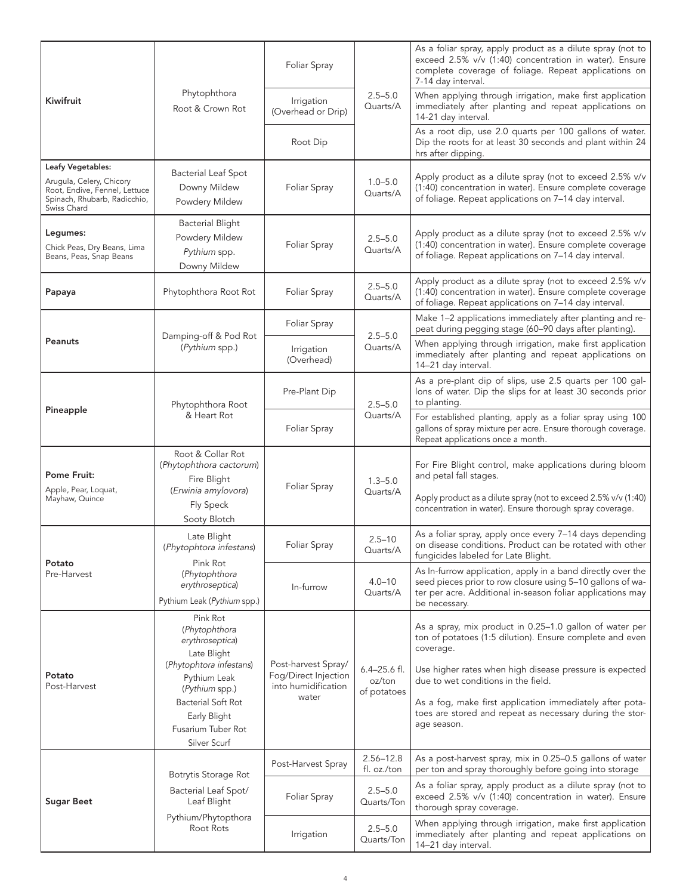|                                                                                                                               |                                                                                                                                                                                                             | Foliar Spray                                                                |                                           | As a foliar spray, apply product as a dilute spray (not to<br>exceed 2.5% v/v (1:40) concentration in water). Ensure<br>complete coverage of foliage. Repeat applications on<br>7-14 day interval.                                                                                                                                                                        |
|-------------------------------------------------------------------------------------------------------------------------------|-------------------------------------------------------------------------------------------------------------------------------------------------------------------------------------------------------------|-----------------------------------------------------------------------------|-------------------------------------------|---------------------------------------------------------------------------------------------------------------------------------------------------------------------------------------------------------------------------------------------------------------------------------------------------------------------------------------------------------------------------|
| Kiwifruit                                                                                                                     | Phytophthora<br>Root & Crown Rot                                                                                                                                                                            | Irrigation<br>(Overhead or Drip)                                            | $2.5 - 5.0$<br>Quarts/A                   | When applying through irrigation, make first application<br>immediately after planting and repeat applications on<br>14-21 day interval.                                                                                                                                                                                                                                  |
|                                                                                                                               |                                                                                                                                                                                                             | Root Dip                                                                    |                                           | As a root dip, use 2.0 quarts per 100 gallons of water.<br>Dip the roots for at least 30 seconds and plant within 24<br>hrs after dipping.                                                                                                                                                                                                                                |
| Leafy Vegetables:<br>Arugula, Celery, Chicory<br>Root, Endive, Fennel, Lettuce<br>Spinach, Rhubarb, Radicchio,<br>Swiss Chard | <b>Bacterial Leaf Spot</b><br>Downy Mildew<br>Powdery Mildew                                                                                                                                                | Foliar Spray                                                                | $1.0 - 5.0$<br>Quarts/A                   | Apply product as a dilute spray (not to exceed 2.5% v/v<br>(1:40) concentration in water). Ensure complete coverage<br>of foliage. Repeat applications on 7-14 day interval.                                                                                                                                                                                              |
| Legumes:<br>Chick Peas, Dry Beans, Lima<br>Beans, Peas, Snap Beans                                                            | <b>Bacterial Blight</b><br>Powdery Mildew<br>Pythium spp.<br>Downy Mildew                                                                                                                                   | Foliar Spray                                                                | $2.5 - 5.0$<br>Quarts/A                   | Apply product as a dilute spray (not to exceed 2.5% v/v<br>(1:40) concentration in water). Ensure complete coverage<br>of foliage. Repeat applications on 7-14 day interval.                                                                                                                                                                                              |
| Papaya                                                                                                                        | Phytophthora Root Rot                                                                                                                                                                                       | Foliar Spray                                                                | $2.5 - 5.0$<br>Quarts/A                   | Apply product as a dilute spray (not to exceed 2.5% v/v<br>(1:40) concentration in water). Ensure complete coverage<br>of foliage. Repeat applications on 7-14 day interval.                                                                                                                                                                                              |
|                                                                                                                               |                                                                                                                                                                                                             | Foliar Spray                                                                | $2.5 - 5.0$                               | Make 1-2 applications immediately after planting and re-<br>peat during pegging stage (60-90 days after planting).                                                                                                                                                                                                                                                        |
| Peanuts                                                                                                                       | Damping-off & Pod Rot<br>(Pythium spp.)                                                                                                                                                                     | Irrigation<br>(Overhead)                                                    | Quarts/A                                  | When applying through irrigation, make first application<br>immediately after planting and repeat applications on<br>14-21 day interval.                                                                                                                                                                                                                                  |
| Pineapple                                                                                                                     | Phytophthora Root<br>& Heart Rot                                                                                                                                                                            | Pre-Plant Dip                                                               | $2.5 - 5.0$<br>Quarts/A                   | As a pre-plant dip of slips, use 2.5 quarts per 100 gal-<br>lons of water. Dip the slips for at least 30 seconds prior<br>to planting.                                                                                                                                                                                                                                    |
|                                                                                                                               |                                                                                                                                                                                                             | Foliar Spray                                                                |                                           | For established planting, apply as a foliar spray using 100<br>gallons of spray mixture per acre. Ensure thorough coverage.<br>Repeat applications once a month.                                                                                                                                                                                                          |
| <b>Pome Fruit:</b><br>Apple, Pear, Loquat,<br>Mayhaw, Quince                                                                  | Root & Collar Rot<br>(Phytophthora cactorum)<br>Fire Blight<br>(Erwinia amylovora)<br>Fly Speck<br>Sooty Blotch                                                                                             | Foliar Spray                                                                | $1.3 - 5.0$<br>Quarts/A                   | For Fire Blight control, make applications during bloom<br>and petal fall stages.<br>Apply product as a dilute spray (not to exceed 2.5% v/v (1:40)<br>concentration in water). Ensure thorough spray coverage.                                                                                                                                                           |
|                                                                                                                               | Late Blight<br>(Phytophtora infestans)                                                                                                                                                                      | Foliar Spray                                                                | $2.5 - 10$<br>Quarts/A                    | As a foliar spray, apply once every 7-14 days depending<br>on disease conditions. Product can be rotated with other<br>fungicides labeled for Late Blight.                                                                                                                                                                                                                |
| Potato<br>Pre-Harvest                                                                                                         | Pink Rot<br>(Phytophthora<br>erythroseptica)<br>Pythium Leak (Pythium spp.)                                                                                                                                 | $4.0 - 10$<br>In-furrow<br>Quarts/A                                         |                                           | As In-furrow application, apply in a band directly over the<br>seed pieces prior to row closure using 5-10 gallons of wa-<br>ter per acre. Additional in-season foliar applications may<br>be necessary.                                                                                                                                                                  |
| Potato<br>Post-Harvest                                                                                                        | Pink Rot<br>(Phytophthora<br>erythroseptica)<br>Late Blight<br>(Phytophtora infestans)<br>Pythium Leak<br>(Pythium spp.)<br><b>Bacterial Soft Rot</b><br>Early Blight<br>Fusarium Tuber Rot<br>Silver Scurf | Post-harvest Spray/<br>Fog/Direct Injection<br>into humidification<br>water | $6.4 - 25.6$ fl.<br>oz/ton<br>of potatoes | As a spray, mix product in 0.25-1.0 gallon of water per<br>ton of potatoes (1:5 dilution). Ensure complete and even<br>coverage.<br>Use higher rates when high disease pressure is expected<br>due to wet conditions in the field.<br>As a fog, make first application immediately after pota-<br>toes are stored and repeat as necessary during the stor-<br>age season. |
|                                                                                                                               | Botrytis Storage Rot                                                                                                                                                                                        | Post-Harvest Spray                                                          | $2.56 - 12.8$<br>fl. oz./ton              | As a post-harvest spray, mix in 0.25-0.5 gallons of water<br>per ton and spray thoroughly before going into storage                                                                                                                                                                                                                                                       |
| <b>Sugar Beet</b>                                                                                                             | Bacterial Leaf Spot/<br>Leaf Blight<br>Pythium/Phytopthora<br>Root Rots                                                                                                                                     | Foliar Spray                                                                | $2.5 - 5.0$<br>Quarts/Ton                 | As a foliar spray, apply product as a dilute spray (not to<br>exceed 2.5% v/v (1:40) concentration in water). Ensure<br>thorough spray coverage.                                                                                                                                                                                                                          |
|                                                                                                                               |                                                                                                                                                                                                             | Irrigation                                                                  | $2.5 - 5.0$<br>Quarts/Ton                 | When applying through irrigation, make first application<br>immediately after planting and repeat applications on<br>14-21 day interval.                                                                                                                                                                                                                                  |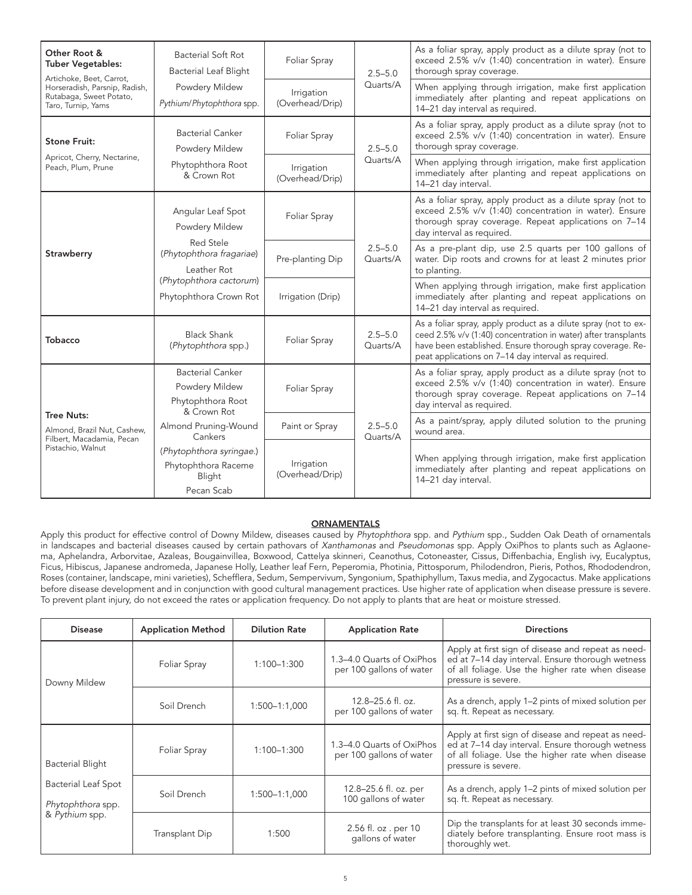| Other Root &<br><b>Tuber Vegetables:</b><br>Artichoke, Beet, Carrot,<br>Horseradish, Parsnip, Radish,        | <b>Bacterial Soft Rot</b><br><b>Bacterial Leaf Blight</b><br>Powdery Mildew   | Foliar Spray                  | $2.5 - 5.0$<br>Quarts/A | As a foliar spray, apply product as a dilute spray (not to<br>exceed 2.5% v/v (1:40) concentration in water). Ensure<br>thorough spray coverage.<br>When applying through irrigation, make first application                                          |
|--------------------------------------------------------------------------------------------------------------|-------------------------------------------------------------------------------|-------------------------------|-------------------------|-------------------------------------------------------------------------------------------------------------------------------------------------------------------------------------------------------------------------------------------------------|
| Rutabaga, Sweet Potato,<br>Taro, Turnip, Yams                                                                | Pythium/Phytophthora spp.                                                     | Irrigation<br>(Overhead/Drip) |                         | immediately after planting and repeat applications on<br>14-21 day interval as required.                                                                                                                                                              |
| <b>Stone Fruit:</b>                                                                                          | <b>Bacterial Canker</b><br>Powdery Mildew                                     | Foliar Spray                  | $2.5 - 5.0$<br>Quarts/A | As a foliar spray, apply product as a dilute spray (not to<br>exceed 2.5% v/v (1:40) concentration in water). Ensure<br>thorough spray coverage.                                                                                                      |
| Peach, Plum, Prune                                                                                           | Apricot, Cherry, Nectarine,<br>Phytophthora Root<br>& Crown Rot               | Irrigation<br>(Overhead/Drip) |                         | When applying through irrigation, make first application<br>immediately after planting and repeat applications on<br>14-21 day interval.                                                                                                              |
|                                                                                                              | Angular Leaf Spot<br>Powdery Mildew                                           |                               |                         | As a foliar spray, apply product as a dilute spray (not to<br>exceed 2.5% v/v (1:40) concentration in water). Ensure<br>thorough spray coverage. Repeat applications on 7-14<br>day interval as required.                                             |
| Strawberry                                                                                                   | Red Stele<br>(Phytophthora fragariae)<br>Leather Rot                          | Pre-planting Dip              | $2.5 - 5.0$<br>Quarts/A | As a pre-plant dip, use 2.5 quarts per 100 gallons of<br>water. Dip roots and crowns for at least 2 minutes prior<br>to planting.                                                                                                                     |
|                                                                                                              | (Phytophthora cactorum)<br>Phytophthora Crown Rot                             | Irrigation (Drip)             |                         | When applying through irrigation, make first application<br>immediately after planting and repeat applications on<br>14-21 day interval as required.                                                                                                  |
| <b>Tobacco</b>                                                                                               | <b>Black Shank</b><br>(Phytophthora spp.)                                     | Foliar Spray                  | $2.5 - 5.0$<br>Quarts/A | As a foliar spray, apply product as a dilute spray (not to ex-<br>ceed 2.5% v/v (1:40) concentration in water) after transplants<br>have been established. Ensure thorough spray coverage. Re-<br>peat applications on 7-14 day interval as required. |
|                                                                                                              | <b>Bacterial Canker</b><br>Powdery Mildew<br>Phytophthora Root<br>& Crown Rot | Foliar Spray                  |                         | As a foliar spray, apply product as a dilute spray (not to<br>exceed 2.5% v/v (1:40) concentration in water). Ensure<br>thorough spray coverage. Repeat applications on 7-14<br>day interval as required.                                             |
| <b>Tree Nuts:</b><br>Almond, Brazil Nut, Cashew,<br>Filbert, Macadamia, Pecan<br>Pistachio, Walnut<br>Blight | Almond Pruning-Wound<br>Cankers                                               | Paint or Spray                | $2.5 - 5.0$<br>Quarts/A | As a paint/spray, apply diluted solution to the pruning<br>wound area.                                                                                                                                                                                |
|                                                                                                              | (Phytophthora syringae.)<br>Phytophthora Raceme<br>Pecan Scab                 | Irrigation<br>(Overhead/Drip) |                         | When applying through irrigation, make first application<br>immediately after planting and repeat applications on<br>14-21 day interval.                                                                                                              |

#### **ORNAMENTALS**

Apply this product for effective control of Downy Mildew, diseases caused by Phytophthora spp. and Pythium spp., Sudden Oak Death of ornamentals in landscapes and bacterial diseases caused by certain pathovars of Xanthamonas and Pseudomonas spp. Apply OxiPhos to plants such as Aglaonema, Aphelandra, Arborvitae, Azaleas, Bougainvillea, Boxwood, Cattelya skinneri, Ceanothus, Cotoneaster, Cissus, Diffenbachia, English ivy, Eucalyptus, Ficus, Hibiscus, Japanese andromeda, Japanese Holly, Leather leaf Fern, Peperomia, Photinia, Pittosporum, Philodendron, Pieris, Pothos, Rhododendron, Roses (container, landscape, mini varieties), Schefflera, Sedum, Sempervivum, Syngonium, Spathiphyllum, Taxus media, and Zygocactus. Make applications before disease development and in conjunction with good cultural management practices. Use higher rate of application when disease pressure is severe. To prevent plant injury, do not exceed the rates or application frequency. Do not apply to plants that are heat or moisture stressed.

| <b>Disease</b>                                                                        | <b>Application Method</b> | <b>Dilution Rate</b>                              | <b>Application Rate</b>                                                            | <b>Directions</b>                                                                                                                                                                 |
|---------------------------------------------------------------------------------------|---------------------------|---------------------------------------------------|------------------------------------------------------------------------------------|-----------------------------------------------------------------------------------------------------------------------------------------------------------------------------------|
| Foliar Spray<br>Downy Mildew<br>Soil Drench                                           |                           | 1:100-1:300                                       | 1.3-4.0 Quarts of OxiPhos<br>per 100 gallons of water                              | Apply at first sign of disease and repeat as need-<br>ed at 7-14 day interval. Ensure thorough wetness<br>of all foliage. Use the higher rate when disease<br>pressure is severe. |
|                                                                                       | 1:500-1:1,000             | $12.8 - 25.6$ fl. oz.<br>per 100 gallons of water | As a drench, apply 1–2 pints of mixed solution per<br>sq. ft. Repeat as necessary. |                                                                                                                                                                                   |
| <b>Bacterial Blight</b><br>Bacterial Leaf Spot<br>Phytophthora spp.<br>& Pythium spp. | Foliar Spray              | 1:100-1:300                                       | 1.3-4.0 Quarts of OxiPhos<br>per 100 gallons of water                              | Apply at first sign of disease and repeat as need-<br>ed at 7-14 day interval. Ensure thorough wetness<br>of all foliage. Use the higher rate when disease<br>pressure is severe. |
|                                                                                       | Soil Drench               | 1:500-1:1,000                                     | 12.8–25.6 fl. oz. per<br>100 gallons of water                                      | As a drench, apply 1-2 pints of mixed solution per<br>sq. ft. Repeat as necessary.                                                                                                |
|                                                                                       | Transplant Dip            | 1:500                                             | 2.56 fl. oz . per 10<br>gallons of water                                           | Dip the transplants for at least 30 seconds imme-<br>diately before transplanting. Ensure root mass is<br>thoroughly wet.                                                         |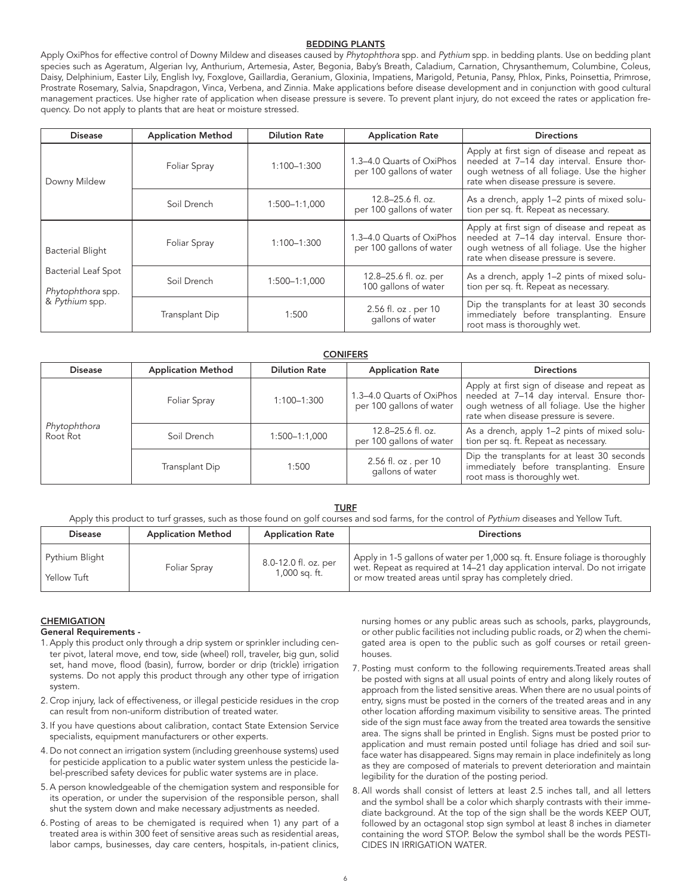#### BEDDING PLANTS

Apply OxiPhos for effective control of Downy Mildew and diseases caused by Phytophthora spp. and Pythium spp. in bedding plants. Use on bedding plant species such as Ageratum, Algerian Ivy, Anthurium, Artemesia, Aster, Begonia, Baby's Breath, Caladium, Carnation, Chrysanthemum, Columbine, Coleus, Daisy, Delphinium, Easter Lily, English Ivy, Foxglove, Gaillardia, Geranium, Gloxinia, Impatiens, Marigold, Petunia, Pansy, Phlox, Pinks, Poinsettia, Primrose, Prostrate Rosemary, Salvia, Snapdragon, Vinca, Verbena, and Zinnia. Make applications before disease development and in conjunction with good cultural management practices. Use higher rate of application when disease pressure is severe. To prevent plant injury, do not exceed the rates or application frequency. Do not apply to plants that are heat or moisture stressed.

| <b>Disease</b>                                                                               | <b>Application Method</b> | <b>Dilution Rate</b>                          | <b>Application Rate</b>                                                              | <b>Directions</b>                                                                                                                                                                 |
|----------------------------------------------------------------------------------------------|---------------------------|-----------------------------------------------|--------------------------------------------------------------------------------------|-----------------------------------------------------------------------------------------------------------------------------------------------------------------------------------|
| Foliar Spray<br>Downy Mildew<br>Soil Drench                                                  |                           | 1:100-1:300                                   | 1.3-4.0 Quarts of OxiPhos<br>per 100 gallons of water                                | Apply at first sign of disease and repeat as<br>needed at 7-14 day interval. Ensure thor-<br>ough wetness of all foliage. Use the higher<br>rate when disease pressure is severe. |
|                                                                                              | $1:500 - 1:1,000$         | 12.8-25.6 fl. oz.<br>per 100 gallons of water | As a drench, apply 1-2 pints of mixed solu-<br>tion per sq. ft. Repeat as necessary. |                                                                                                                                                                                   |
| <b>Bacterial Blight</b><br><b>Bacterial Leaf Spot</b><br>Phytophthora spp.<br>& Pythium spp. | Foliar Spray              | 1:100-1:300                                   | 1.3-4.0 Quarts of OxiPhos<br>per 100 gallons of water                                | Apply at first sign of disease and repeat as<br>needed at 7-14 day interval. Ensure thor-<br>ough wetness of all foliage. Use the higher<br>rate when disease pressure is severe. |
|                                                                                              | Soil Drench               | $1:500 - 1:1,000$                             | 12.8–25.6 fl. oz. per<br>100 gallons of water                                        | As a drench, apply 1-2 pints of mixed solu-<br>tion per sq. ft. Repeat as necessary.                                                                                              |
|                                                                                              | Transplant Dip            | 1:500                                         | 2.56 fl. oz . per 10<br>gallons of water                                             | Dip the transplants for at least 30 seconds<br>immediately before transplanting. Ensure<br>root mass is thoroughly wet.                                                           |

| <b>CONIFERS</b>          |                           |                      |                                                         |                                                                                                                                                                                   |  |
|--------------------------|---------------------------|----------------------|---------------------------------------------------------|-----------------------------------------------------------------------------------------------------------------------------------------------------------------------------------|--|
| <b>Disease</b>           | <b>Application Method</b> | <b>Dilution Rate</b> | <b>Application Rate</b>                                 | <b>Directions</b>                                                                                                                                                                 |  |
| Phytophthora<br>Root Rot | Foliar Spray              | $1:100 - 1:300$      | 1.3–4.0 Quarts of OxiPhos  <br>per 100 gallons of water | Apply at first sign of disease and repeat as<br>needed at 7-14 day interval. Ensure thor-<br>ough wetness of all foliage. Use the higher<br>rate when disease pressure is severe. |  |
|                          | Soil Drench               | $1:500 - 1:1,000$    | 12.8-25.6 fl. oz.<br>per 100 gallons of water           | As a drench, apply 1-2 pints of mixed solu-<br>tion per sq. ft. Repeat as necessary.                                                                                              |  |
|                          | Transplant Dip            | 1:500                | 2.56 fl. oz . per 10<br>gallons of water                | Dip the transplants for at least 30 seconds<br>immediately before transplanting. Ensure<br>root mass is thoroughly wet.                                                           |  |

#### **TURF**

Apply this product to turf grasses, such as those found on golf courses and sod farms, for the control of Pythium diseases and Yellow Tuft.

| <b>Disease</b>                             | <b>Application Method</b> | <b>Application Rate</b>               | <b>Directions</b>                                                                                                                                                                                                    |
|--------------------------------------------|---------------------------|---------------------------------------|----------------------------------------------------------------------------------------------------------------------------------------------------------------------------------------------------------------------|
| Pythium Blight<br><sup>1</sup> Yellow Tuft | Foliar Spray              | 8.0-12.0 fl. oz. per<br>1,000 sq. ft. | Apply in 1-5 gallons of water per 1,000 sq. ft. Ensure foliage is thoroughly<br>wet. Repeat as required at 14-21 day application interval. Do not irrigate<br>or mow treated areas until spray has completely dried. |

#### **CHEMIGATION**

#### General Requirements -

- 1.Apply this product only through a drip system or sprinkler including center pivot, lateral move, end tow, side (wheel) roll, traveler, big gun, solid set, hand move, flood (basin), furrow, border or drip (trickle) irrigation systems. Do not apply this product through any other type of irrigation system.
- 2. Crop injury, lack of effectiveness, or illegal pesticide residues in the crop can result from non-uniform distribution of treated water.
- 3. If you have questions about calibration, contact State Extension Service specialists, equipment manufacturers or other experts.
- 4. Do not connect an irrigation system (including greenhouse systems) used for pesticide application to a public water system unless the pesticide label-prescribed safety devices for public water systems are in place.
- 5.A person knowledgeable of the chemigation system and responsible for its operation, or under the supervision of the responsible person, shall shut the system down and make necessary adjustments as needed.
- 6. Posting of areas to be chemigated is required when 1) any part of a treated area is within 300 feet of sensitive areas such as residential areas, labor camps, businesses, day care centers, hospitals, in-patient clinics,

nursing homes or any public areas such as schools, parks, playgrounds, or other public facilities not including public roads, or 2) when the chemigated area is open to the public such as golf courses or retail greenhouses.

- 7. Posting must conform to the following requirements.Treated areas shall be posted with signs at all usual points of entry and along likely routes of approach from the listed sensitive areas. When there are no usual points of entry, signs must be posted in the corners of the treated areas and in any other location affording maximum visibility to sensitive areas. The printed side of the sign must face away from the treated area towards the sensitive area. The signs shall be printed in English. Signs must be posted prior to application and must remain posted until foliage has dried and soil surface water has disappeared. Signs may remain in place indefinitely as long as they are composed of materials to prevent deterioration and maintain legibility for the duration of the posting period.
- 8.All words shall consist of letters at least 2.5 inches tall, and all letters and the symbol shall be a color which sharply contrasts with their immediate background. At the top of the sign shall be the words KEEP OUT, followed by an octagonal stop sign symbol at least 8 inches in diameter containing the word STOP. Below the symbol shall be the words PESTI-CIDES IN IRRIGATION WATER.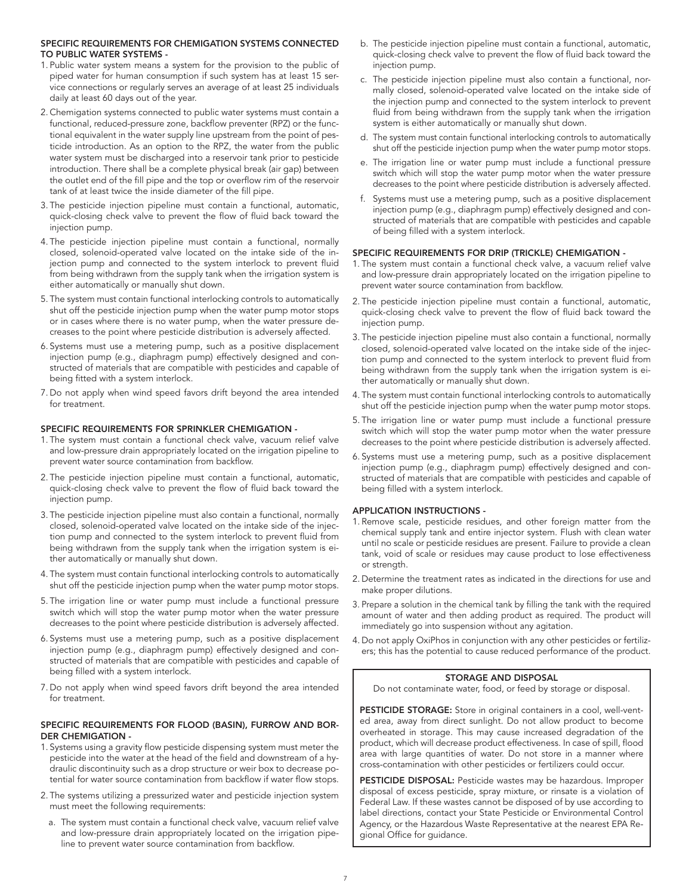#### SPECIFIC REQUIREMENTS FOR CHEMIGATION SYSTEMS CONNECTED TO PUBLIC WATER SYSTEMS -

- 1. Public water system means a system for the provision to the public of piped water for human consumption if such system has at least 15 service connections or regularly serves an average of at least 25 individuals daily at least 60 days out of the year.
- 2. Chemigation systems connected to public water systems must contain a functional, reduced-pressure zone, backflow preventer (RPZ) or the functional equivalent in the water supply line upstream from the point of pesticide introduction. As an option to the RPZ, the water from the public water system must be discharged into a reservoir tank prior to pesticide introduction. There shall be a complete physical break (air gap) between the outlet end of the fill pipe and the top or overflow rim of the reservoir tank of at least twice the inside diameter of the fill pipe.
- 3. The pesticide injection pipeline must contain a functional, automatic, quick-closing check valve to prevent the flow of fluid back toward the injection pump.
- 4. The pesticide injection pipeline must contain a functional, normally closed, solenoid-operated valve located on the intake side of the injection pump and connected to the system interlock to prevent fluid from being withdrawn from the supply tank when the irrigation system is either automatically or manually shut down.
- 5. The system must contain functional interlocking controls to automatically shut off the pesticide injection pump when the water pump motor stops or in cases where there is no water pump, when the water pressure decreases to the point where pesticide distribution is adversely affected.
- 6. Systems must use a metering pump, such as a positive displacement injection pump (e.g., diaphragm pump) effectively designed and constructed of materials that are compatible with pesticides and capable of being fitted with a system interlock.
- 7. Do not apply when wind speed favors drift beyond the area intended for treatment.

#### SPECIFIC REQUIREMENTS FOR SPRINKLER CHEMIGATION -

- 1. The system must contain a functional check valve, vacuum relief valve and low-pressure drain appropriately located on the irrigation pipeline to prevent water source contamination from backflow.
- 2. The pesticide injection pipeline must contain a functional, automatic, quick-closing check valve to prevent the flow of fluid back toward the injection pump.
- 3. The pesticide injection pipeline must also contain a functional, normally closed, solenoid-operated valve located on the intake side of the injection pump and connected to the system interlock to prevent fluid from being withdrawn from the supply tank when the irrigation system is either automatically or manually shut down.
- 4. The system must contain functional interlocking controls to automatically shut off the pesticide injection pump when the water pump motor stops.
- 5. The irrigation line or water pump must include a functional pressure switch which will stop the water pump motor when the water pressure decreases to the point where pesticide distribution is adversely affected.
- 6. Systems must use a metering pump, such as a positive displacement injection pump (e.g., diaphragm pump) effectively designed and constructed of materials that are compatible with pesticides and capable of being filled with a system interlock.
- 7. Do not apply when wind speed favors drift beyond the area intended for treatment.

#### SPECIFIC REQUIREMENTS FOR FLOOD (BASIN), FURROW AND BOR-DER CHEMIGATION -

- 1. Systems using a gravity flow pesticide dispensing system must meter the pesticide into the water at the head of the field and downstream of a hydraulic discontinuity such as a drop structure or weir box to decrease potential for water source contamination from backflow if water flow stops.
- 2. The systems utilizing a pressurized water and pesticide injection system must meet the following requirements:
	- a. The system must contain a functional check valve, vacuum relief valve and low-pressure drain appropriately located on the irrigation pipeline to prevent water source contamination from backflow.
- b. The pesticide injection pipeline must contain a functional, automatic, quick-closing check valve to prevent the flow of fluid back toward the injection pump.
- c. The pesticide injection pipeline must also contain a functional, normally closed, solenoid-operated valve located on the intake side of the injection pump and connected to the system interlock to prevent fluid from being withdrawn from the supply tank when the irrigation system is either automatically or manually shut down.
- d. The system must contain functional interlocking controls to automatically shut off the pesticide injection pump when the water pump motor stops.
- e. The irrigation line or water pump must include a functional pressure switch which will stop the water pump motor when the water pressure decreases to the point where pesticide distribution is adversely affected.
- f. Systems must use a metering pump, such as a positive displacement injection pump (e.g., diaphragm pump) effectively designed and constructed of materials that are compatible with pesticides and capable of being filled with a system interlock.

#### SPECIFIC REQUIREMENTS FOR DRIP (TRICKLE) CHEMIGATION -

- 1. The system must contain a functional check valve, a vacuum relief valve and low-pressure drain appropriately located on the irrigation pipeline to prevent water source contamination from backflow.
- 2. The pesticide injection pipeline must contain a functional, automatic, quick-closing check valve to prevent the flow of fluid back toward the injection pump.
- 3. The pesticide injection pipeline must also contain a functional, normally closed, solenoid-operated valve located on the intake side of the injection pump and connected to the system interlock to prevent fluid from being withdrawn from the supply tank when the irrigation system is either automatically or manually shut down.
- 4. The system must contain functional interlocking controls to automatically shut off the pesticide injection pump when the water pump motor stops.
- 5. The irrigation line or water pump must include a functional pressure switch which will stop the water pump motor when the water pressure decreases to the point where pesticide distribution is adversely affected.
- 6. Systems must use a metering pump, such as a positive displacement injection pump (e.g., diaphragm pump) effectively designed and constructed of materials that are compatible with pesticides and capable of being filled with a system interlock.

#### APPLICATION INSTRUCTIONS -

- 1. Remove scale, pesticide residues, and other foreign matter from the chemical supply tank and entire injector system. Flush with clean water until no scale or pesticide residues are present. Failure to provide a clean tank, void of scale or residues may cause product to lose effectiveness or strength.
- 2. Determine the treatment rates as indicated in the directions for use and make proper dilutions.
- 3. Prepare a solution in the chemical tank by filling the tank with the required amount of water and then adding product as required. The product will immediately go into suspension without any agitation.
- 4. Do not apply OxiPhos in conjunction with any other pesticides or fertilizers; this has the potential to cause reduced performance of the product.

#### STORAGE AND DISPOSAL

Do not contaminate water, food, or feed by storage or disposal.

PESTICIDE STORAGE: Store in original containers in a cool, well-vented area, away from direct sunlight. Do not allow product to become overheated in storage. This may cause increased degradation of the product, which will decrease product effectiveness. In case of spill, flood area with large quantities of water. Do not store in a manner where cross-contamination with other pesticides or fertilizers could occur.

PESTICIDE DISPOSAL: Pesticide wastes may be hazardous. Improper disposal of excess pesticide, spray mixture, or rinsate is a violation of Federal Law. If these wastes cannot be disposed of by use according to label directions, contact your State Pesticide or Environmental Control Agency, or the Hazardous Waste Representative at the nearest EPA Regional Office for guidance.